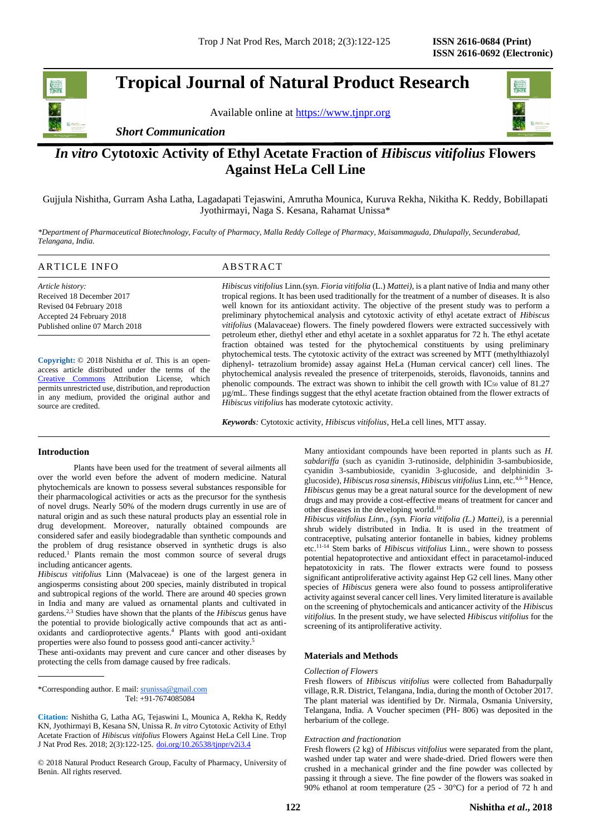# **Tropical Journal of Natural Product Research**

Available online at [https://www.tjnpr.org](https://www.tjnpr.org/)



# *In vitro* **Cytotoxic Activity of Ethyl Acetate Fraction of** *Hibiscus vitifolius* **Flowers Against HeLa Cell Line**

Gujjula Nishitha, Gurram Asha Latha, Lagadapati Tejaswini, Amrutha Mounica, Kuruva Rekha, Nikitha K. Reddy, Bobillapati Jyothirmayi, Naga S. Kesana, Rahamat Unissa\*

*\*Department of Pharmaceutical Biotechnology, Faculty of Pharmacy, Malla Reddy College of Pharmacy, Maisammaguda, Dhulapally, Secunderabad, Telangana, India.*

# ARTICLE INFO ABSTRACT

*Article history:* Received 18 December 2017 Revised 04 February 2018 Accepted 24 February 2018 Published online 07 March 2018

**Copyright:** © 2018 Nishitha *et al*. This is an openaccess article distributed under the terms of the [Creative Commons](https://creativecommons.org/licenses/by/4.0/) Attribution License, which permits unrestricted use, distribution, and reproduction in any medium, provided the original author and source are credited.

*Hibiscus vitifolius* Linn*.*(syn. *Fioria vitifolia* (L.) *Mattei),* is a plant native of India and many other tropical regions. It has been used traditionally for the treatment of a number of diseases. It is also well known for its antioxidant activity. The objective of the present study was to perform a preliminary phytochemical analysis and cytotoxic activity of ethyl acetate extract of *Hibiscus vitifolius* (Malavaceae) flowers. The finely powdered flowers were extracted successively with petroleum ether, diethyl ether and ethyl acetate in a soxhlet apparatus for 72 h. The ethyl acetate fraction obtained was tested for the phytochemical constituents by using preliminary phytochemical tests. The cytotoxic activity of the extract was screened by MTT (methylthiazolyl diphenyl- tetrazolium bromide) assay against HeLa (Human cervical cancer) cell lines. The phytochemical analysis revealed the presence of triterpenoids, steroids, flavonoids, tannins and phenolic compounds. The extract was shown to inhibit the cell growth with  $IC_{50}$  value of 81.27 µg/mL. These findings suggest that the ethyl acetate fraction obtained from the flower extracts of *Hibiscus vitifolius* has moderate cytotoxic activity.

*Keywords:* Cytotoxic activity, *Hibiscus vitifolius*, HeLa cell lines, MTT assay.

# **Introduction**

Plants have been used for the treatment of several ailments all over the world even before the advent of modern medicine. Natural phytochemicals are known to possess several substances responsible for their pharmacological activities or acts as the precursor for the synthesis of novel drugs. Nearly 50% of the modern drugs currently in use are of natural origin and as such these natural products play an essential role in drug development. Moreover, naturally obtained compounds are considered safer and easily biodegradable than synthetic compounds and the problem of drug resistance observed in synthetic drugs is also reduced. <sup>1</sup> Plants remain the most common source of several drugs including anticancer agents.

*Hibiscus vitifolius* Linn (Malvaceae) is one of the largest genera in angiosperms consisting about 200 species, mainly distributed in tropical and subtropical regions of the world. There are around 40 species grown in India and many are valued as ornamental plants and cultivated in gardens. 2,3 Studies have shown that the plants of the *Hibiscus* genus have the potential to provide biologically active compounds that act as antioxidants and cardioprotective agents. <sup>4</sup> Plants with good anti-oxidant properties were also found to possess good anti-cancer activity. 5

These anti-oxidants may prevent and cure cancer and other diseases by protecting the cells from damage caused by free radicals.

\*Corresponding author. E mail: [srunissa@gmail.com](mailto:srunissa@gmail.com) Tel: +91-7674085084

© 2018 Natural Product Research Group, Faculty of Pharmacy, University of Benin. All rights reserved.

Many antioxidant compounds have been reported in plants such as *H. sabdariffa* (such as cyanidin 3-rutinoside, delphinidin 3-sambubioside, cyanidin 3-sambubioside, cyanidin 3-glucoside, and delphinidin 3 glucoside), *Hibiscus rosa sinensis*, *Hibiscus vitifolius* Linn, etc. 4,6- <sup>9</sup> Hence, *Hibiscus* genus may be a great natural source for the development of new drugs and may provide a cost-effective means of treatment for cancer and other diseases in the developing world.<sup>10</sup>

*Hibiscus vitifolius Linn., (*syn*. Fioria vitifolia (L.) Mattei),* is a perennial shrub widely distributed in India. It is used in the treatment of contraceptive, pulsating anterior fontanelle in babies, kidney problems etc.11-14 Stem barks of *Hibiscus vitifolius* Linn*.,* were shown to possess potential hepatoprotective and antioxidant effect in paracetamol-induced hepatotoxicity in rats. The flower extracts were found to possess significant antiproliferative activity against Hep G2 cell lines. Many other species of *Hibiscus* genera were also found to possess antiproliferative activity against several cancer cell lines. Very limited literature is available on the screening of phytochemicals and anticancer activity of the *Hibiscus vitifolius.* In the present study, we have selected *Hibiscus vitifolius* for the screening of its antiproliferative activity.

#### **Materials and Methods**

#### *Collection of Flowers*

Fresh flowers of *Hibiscus vitifolius* were collected from Bahadurpally village, R.R. District, Telangana, India, during the month of October 2017. The plant material was identified by Dr. Nirmala, Osmania University, Telangana, India. A Voucher specimen (PH- 806) was deposited in the herbarium of the college.

#### *Extraction and fractionation*

Fresh flowers (2 kg) of *Hibiscus vitifolius* were separated from the plant, washed under tap water and were shade-dried. Dried flowers were then crushed in a mechanical grinder and the fine powder was collected by passing it through a sieve. The fine powder of the flowers was soaked in 90% ethanol at room temperature (25 - 30°C) for a period of 72 h and



**Citation:** Nishitha G, Latha AG, Tejaswini L, Mounica A, Rekha K, Reddy KN, Jyothirmayi B, Kesana SN, Unissa R. *In vitro* Cytotoxic Activity of Ethyl Acetate Fraction of *Hibiscus vitifolius* Flowers Against HeLa Cell Line. Trop J Nat Prod Res. 2018; 2(3):122-125. [doi.org/10.26538/tjnpr/v2i3.4](http://www.doi.org/10.26538/tjnpr/v1i4.5)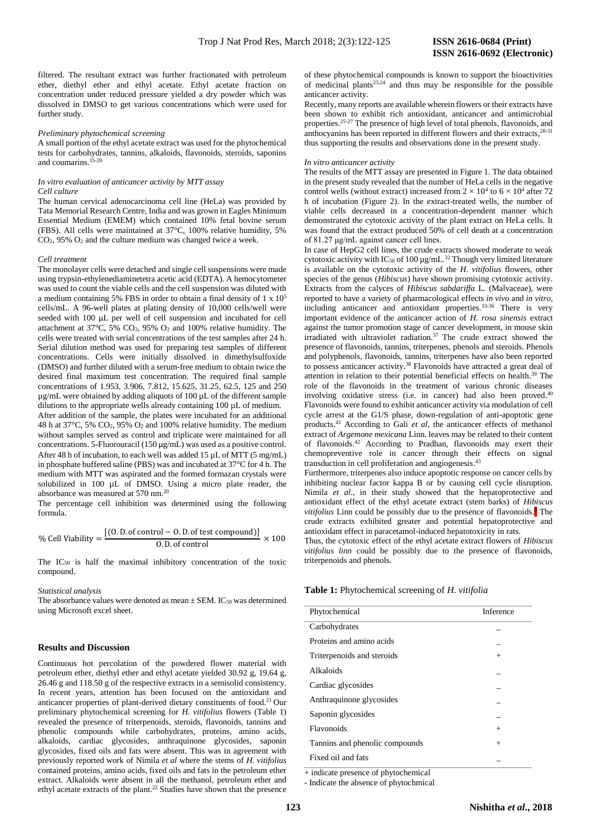filtered. The resultant extract was further fractionated with petroleum ether, diethyl ether and ethyl acetate. Ethyl acetate fraction on concentration under reduced pressure yielded a dry powder which was dissolved in DMSO to get various concentrations which were used for further study.

#### *Preliminary phytochemical screening*

A small portion of the ethyl acetate extract was used for the phytochemical tests for carbohydrates, tannins, alkaloids, flavonoids, steroids, saponins and coumarins. 15-20

# *In vitro evaluation of anticancer activity by MTT assay Cell culture*

The human cervical adenocarcinoma cell line (HeLa) was provided by Tata Memorial Research Centre, India and was grown in Eagles Minimum Essential Medium (EMEM) which contained 10% fetal bovine serum (FBS). All cells were maintained at 37°C, 100% relative humidity, 5%  $CO<sub>2</sub>$ , 95%  $O<sub>2</sub>$  and the culture medium was changed twice a week.

#### *Cell treatment*

The monolayer cells were detached and single cell suspensions were made using trypsin-ethylenediaminetetra acetic acid (EDTA). A hemocytometer was used to count the viable cells and the cell suspension was diluted with a medium containing 5% FBS in order to obtain a final density of 1 x 10<sup>5</sup> cells/mL. A 96-well plates at plating density of 10,000 cells/well were seeded with 100 µL per well of cell suspension and incubated for cell attachment at 37°C, 5% CO2, 95% O<sup>2</sup> and 100% relative humidity. The cells were treated with serial concentrations of the test samples after 24 h. Serial dilution method was used for preparing test samples of different concentrations. Cells were initially dissolved in dimethylsulfoxide (DMSO) and further diluted with a serum-free medium to obtain twice the desired final maximum test concentration. The required final sample concentrations of 1.953, 3.906, 7.812, 15.625, 31.25, 62.5, 125 and 250 µg/mL were obtained by adding aliquots of 100 µL of the different sample dilutions to the appropriate wells already containing 100 µL of medium. After addition of the sample, the plates were incubated for an additional

48 h at 37°C, 5% CO2, 95% O<sup>2</sup> and 100% relative humidity. The medium without samples served as control and triplicate were maintained for all concentrations. 5-Fluorouracil (150 µg/mL) was used as a positive control. After 48 h of incubation, to each well was added 15  $\mu$ L of MTT (5 mg/mL) in phosphate buffered saline (PBS) was and incubated at 37°C for 4 h. The medium with MTT was aspirated and the formed formazan crystals were solubilized in 100 µL of DMSO. Using a micro plate reader, the absorbance was measured at 570 nm.<sup>20</sup>

The percentage cell inhibition was determined using the following formula.

% Cell Viability = 
$$
\frac{[(0. D. of control - 0. D. of test compound)]}{0. D. of control} \times 100
$$

The IC<sup>50</sup> is half the maximal inhibitory concentration of the toxic compound.

### *Statistical analysis*

The absorbance values were denoted as mean  $\pm$  SEM. IC<sub>50</sub> was determined using Microsoft excel sheet.

# **Results and Discussion**

Continuous hot percolation of the powdered flower material with petroleum ether, diethyl ether and ethyl acetate yielded 30.92 g, 19.64 g, 26.46 g and 118.50 g of the respective extracts in a semisolid consistency. In recent years, attention has been focused on the antioxidant and anticancer properties of plant-derived dietary constituents of food. <sup>21</sup> Our preliminary phytochemical screening for *H. vitifolius* flowers (Table 1) revealed the presence of triterpenoids, steroids, flavonoids, tannins and phenolic compounds while carbohydrates, proteins, amino acids, alkaloids, cardiac glycosides, anthraquinone glycosides, saponin glycosides, fixed oils and fats were absent. This was in agreement with previously reported work of Nimila *et al* where the stems of *H. vitifolius* contained proteins, amino acids, fixed oils and fats in the petroleum ether extract. Alkaloids were absent in all the methanol, petroleum ether and ethyl acetate extracts of the plant. <sup>22</sup> Studies have shown that the presence of these phytochemical compounds is known to support the bioactivities of medicinal plants<sup>23,24</sup> and thus may be responsible for the possible anticancer activity.

Recently, many reports are available wherein flowers or their extracts have been shown to exhibit rich antioxidant, anticancer and antimicrobial properties.<sup>25-27</sup> The presence of high level of total phenols, flavonoids, and anthocyanins has been reported in different flowers and their extracts, 28-31 thus supporting the results and observations done in the present study.

#### *In vitro anticancer activity*

The results of the MTT assay are presented in Figure 1. The data obtained in the present study revealed that the number of HeLa cells in the negative control wells (without extract) increased from  $2 \times 10^4$  to  $6 \times 10^4$  after 72 h of incubation (Figure 2). In the extract-treated wells, the number of viable cells decreased in a concentration-dependent manner which demonstrated the cytotoxic activity of the plant extract on HeLa cells. It was found that the extract produced 50% of cell death at a concentration of 81.27 μg/mL against cancer cell lines.

In case of HepG2 cell lines, the crude extracts showed moderate to weak cytotoxic activity with IC<sub>50</sub> of 100  $\mu$ g/mL.<sup>32</sup> Though very limited literature is available on the cytotoxic activity of the *H. vitifolius* flowers, other species of the genus (*Hibiscus*) have shown promising cytotoxic activity. Extracts from the calyces of *Hibiscus sabdariffa* L*.* (Malvaceae), were reported to have a variety of pharmacological effects *in vivo* and *in vitro*, including anticancer and antioxidant properties.33-36 There is very important evidence of the anticancer action of *H. rosa sinensis* extract against the tumor promotion stage of cancer development, in mouse skin irradiated with ultraviolet radiation.<sup>37</sup> The crude extract showed the presence of flavonoids, tannins, triterpenes, phenols and steroids. Phenols and polyphenols, flavonoids, tannins, triterpenes have also been reported to possess anticancer activity.<sup>38</sup> Flavonoids have attracted a great deal of attention in relation to their potential beneficial effects on health. <sup>39</sup> The role of the flavonoids in the treatment of various chronic diseases involving oxidative stress (i.e. in cancer) had also been proved.<sup>40</sup> Flavonoids were found to exhibit anticancer activity via modulation of cell cycle arrest at the G1/S phase, down-regulation of anti-apoptotic gene products. <sup>41</sup> According to Gali *et al*, the anticancer effects of methanol extract of *Argemone mexicana* Linn. leaves may be related to their content of flavonoids. <sup>42</sup> According to Pradhan, flavonoids may exert their chemopreventive role in cancer through their effects on signal transduction in cell proliferation and angiogenesis. 43

Furthermore, triterpenes also induce apoptotic response on cancer cells by inhibiting nuclear factor kappa B or by causing cell cycle disruption. Nimila *et al*., in their study showed that the hepatoprotective and antioxidant effect of the ethyl acetate extract (stem barks) of *Hibiscus vitifolius* Linn could be possibly due to the presence of flavonoids.<sup>9</sup> The crude extracts exhibited greater and potential hepatoprotective and antioxidant effect in paracetamol-induced hepatotoxicity in rats.

Thus, the cytotoxic effect of the ethyl acetate extract flowers of *Hibiscus vitifolius linn* could be possibly due to the presence of flavonoids, triterpenoids and phenols.

### **Table 1:** Phytochemical screening of *H. vitifolia*

| Phytochemical                              | Inference |
|--------------------------------------------|-----------|
| Carbohydrates                              |           |
| Proteins and amino acids                   |           |
| Triterpenoids and steroids                 | $^{+}$    |
| Alkaloids                                  |           |
| Cardiac glycosides                         |           |
| Anthraquinone glycosides                   |           |
| Saponin glycosides                         |           |
| Flavonoids                                 | $^{+}$    |
| Tannins and phenolic compounds             | $^{+}$    |
| Fixed oil and fats                         |           |
| t da dinata munggung ng mberta denganing t |           |

+ indicate presence of phytochemical

- Indicate the absence of phytochmical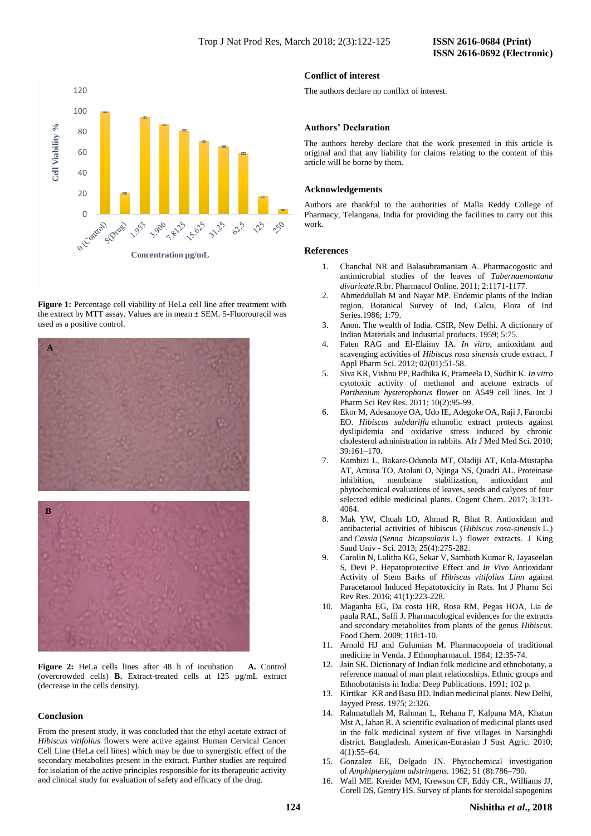

**Figure 1:** Percentage cell viability of HeLa cell line after treatment with the extract by MTT assay. Values are in mean  $\pm$  SEM. 5-Fluorouracil was used as a positive control.



**Figure 2:** HeLa cells lines after 48 h of incubation **A.** Control (overcrowded cells) **B.** Extract-treated cells at 125 µg/mL extract (decrease in the cells density).

# **Conclusion**

From the present study, it was concluded that the ethyl acetate extract of *Hibiscus vitifolius* flowers were active against Human Cervical Cancer Cell Line (HeLa cell lines) which may be due to synergistic effect of the secondary metabolites present in the extract. Further studies are required for isolation of the active principles responsible for its therapeutic activity and clinical study for evaluation of safety and efficacy of the drug.

# **Conflict of interest**

The authors declare no conflict of interest.

## **Authors' Declaration**

The authors hereby declare that the work presented in this article is original and that any liability for claims relating to the content of this article will be borne by them.

# **Acknowledgements**

Authors are thankful to the authorities of Malla Reddy College of Pharmacy, Telangana, India for providing the facilities to carry out this work.

#### **References**

- 1. Chanchal NR and Balasubramaniam A. Pharmacogostic and antimicrobial studies of the leaves of *Tabernaemontana divaricate*.R.br. Pharmacol Online. 2011; 2:1171-1177.
- 2. Ahmeddullah M and Nayar MP. Endemic plants of the Indian region. Botanical Survey of Ind, Calcu, Flora of Ind Series.1986; 1:79.
- 3. Anon. The wealth of India. CSIR, New Delhi. A dictionary of Indian Materials and Industrial products. 1959; 5:75.
- 4. Faten RAG and El-Elaimy IA. *In vitro*, antioxidant and scavenging activities of *Hibiscus rosa sinensis* crude extract. J Appl Pharm Sci. 2012; 02(01):51-58.
- 5. Siva KR, Vishnu PP, Radhika K, Prameela D, Sudhir K. *In vitro* cytotoxic activity of methanol and acetone extracts of *Parthenium hysterophorus* flower on A549 cell lines. Int J Pharm Sci Rev Res. 2011; 10(2):95-99.
- 6. Ekor M, Adesanoye OA, Udo IE, Adegoke OA, Raji J, Farombi EO. *Hibiscus sabdariffa* ethanolic extract protects against dyslipidemia and oxidative stress induced by chronic cholesterol administration in rabbits. Afr J Med Med Sci. 2010; 39:161–170.
- 7. Kambizi L, Bakare-Odunola MT, Oladiji AT, Kola-Mustapha AT, Amusa TO, Atolani O, Njinga NS, Quadri AL. Proteinase inhibition, membrane stabilization, antioxidant and phytochemical evaluations of leaves, seeds and calyces of four selected edible medicinal plants. Cogent Chem. 2017; 3:131- 4064.
- 8. Mak YW, Chuah LO, Ahmad R, Bhat R. Antioxidant and antibacterial activities of hibiscus (*Hibiscus rosa-sinensis* L.) and *Cassia* (*Senna bicapsularis* L.) flower extracts. J King Saud Univ - Sci. 2013; 25(4):275-282.
- 9. Carolin N, Lalitha KG, Sekar V, Sambath Kumar R, Jayaseelan S, Devi P. Hepatoprotective Effect and *In Vivo* Antioxidant Activity of Stem Barks of *Hibiscus vitifolius Linn* against Paracetamol Induced Hepatotoxicity in Rats. Int J Pharm Sci Rev Res. 2016; 41(1):223-228.
- 10. Maganha EG, Da costa HR, Rosa RM, Pegas HOA, Lia de paula RAL, Saffi J. Pharmacological evidences for the extracts and secondary metabolites from plants of the genus *Hibiscus*. Food Chem. 2009; 118:1-10.
- 11. Arnold HJ and Gulumian M. Pharmacopoeia of traditional medicine in Venda. J Ethnopharmacol. 1984; 12:35-74.
- 12. Jain SK. Dictionary of Indian folk medicine and ethnobotany, a reference manual of man plant relationships. Ethnic groups and Ethnobotanists in India: Deep Publications. 1991; 102 p.
- 13. Kirtikar KR and Basu BD. Indian medicinal plants. New Delhi, Jayyed Press. 1975; 2:326.
- 14. Rahmatullah M, Rahman L, Rehana F, Kalpana MA, Khatun Mst A, Jahan R. A scientific evaluation of medicinal plants used in the folk medicinal system of five villages in Narsinghdi district. Bangladesh. American-Eurasian J Sust Agric. 2010; 4(1):55–64.
- 15. Gonzalez EE, Delgado JN. Phytochemical investigation of *Amphipterygium adstringens.* 1962; 51 (8):786–790.
- 16. Wall ME. Kreider MM, Krewson CF, Eddy CR., Williams JJ, Corell DS, Gentry HS. Survey of plants for steroidal sapogenins